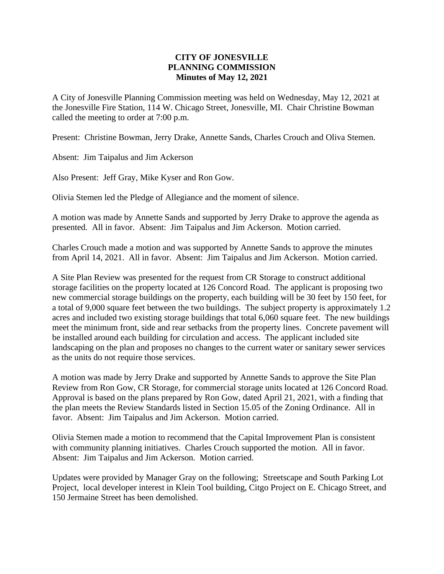## **CITY OF JONESVILLE PLANNING COMMISSION Minutes of May 12, 2021**

A City of Jonesville Planning Commission meeting was held on Wednesday, May 12, 2021 at the Jonesville Fire Station, 114 W. Chicago Street, Jonesville, MI. Chair Christine Bowman called the meeting to order at 7:00 p.m.

Present: Christine Bowman, Jerry Drake, Annette Sands, Charles Crouch and Oliva Stemen.

Absent: Jim Taipalus and Jim Ackerson

Also Present: Jeff Gray, Mike Kyser and Ron Gow.

Olivia Stemen led the Pledge of Allegiance and the moment of silence.

A motion was made by Annette Sands and supported by Jerry Drake to approve the agenda as presented. All in favor. Absent: Jim Taipalus and Jim Ackerson. Motion carried.

Charles Crouch made a motion and was supported by Annette Sands to approve the minutes from April 14, 2021. All in favor. Absent: Jim Taipalus and Jim Ackerson. Motion carried.

A Site Plan Review was presented for the request from CR Storage to construct additional storage facilities on the property located at 126 Concord Road. The applicant is proposing two new commercial storage buildings on the property, each building will be 30 feet by 150 feet, for a total of 9,000 square feet between the two buildings. The subject property is approximately 1.2 acres and included two existing storage buildings that total 6,060 square feet. The new buildings meet the minimum front, side and rear setbacks from the property lines. Concrete pavement will be installed around each building for circulation and access. The applicant included site landscaping on the plan and proposes no changes to the current water or sanitary sewer services as the units do not require those services.

A motion was made by Jerry Drake and supported by Annette Sands to approve the Site Plan Review from Ron Gow, CR Storage, for commercial storage units located at 126 Concord Road. Approval is based on the plans prepared by Ron Gow, dated April 21, 2021, with a finding that the plan meets the Review Standards listed in Section 15.05 of the Zoning Ordinance. All in favor. Absent: Jim Taipalus and Jim Ackerson. Motion carried.

Olivia Stemen made a motion to recommend that the Capital Improvement Plan is consistent with community planning initiatives. Charles Crouch supported the motion. All in favor. Absent: Jim Taipalus and Jim Ackerson. Motion carried.

Updates were provided by Manager Gray on the following; Streetscape and South Parking Lot Project, local developer interest in Klein Tool building, Citgo Project on E. Chicago Street, and 150 Jermaine Street has been demolished.